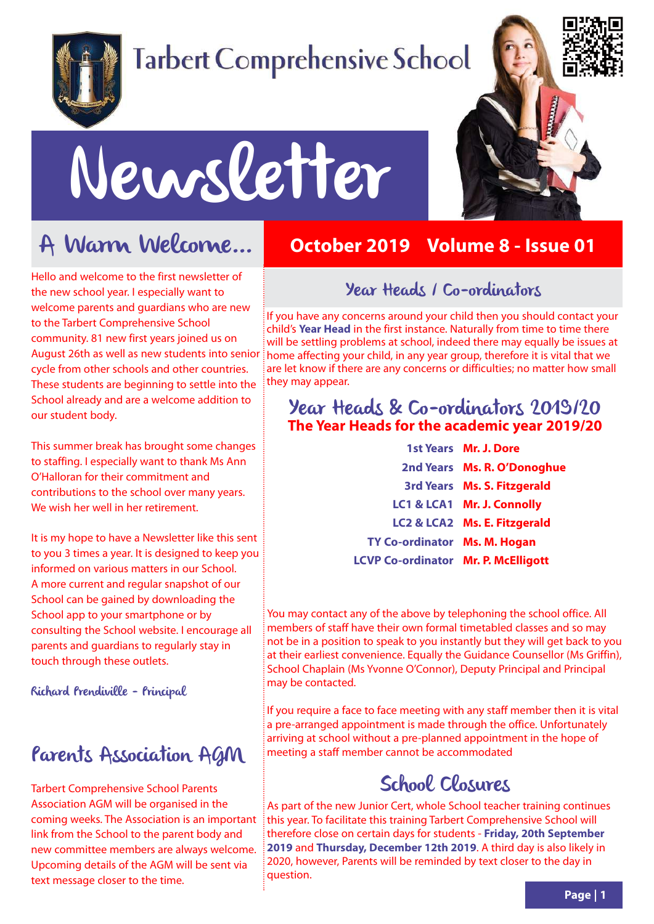

# **Tarbert Comprehensive School**



# Newsletter

## A Warm Welcome...

Hello and welcome to the first newsletter of the new school year. I especially want to welcome parents and guardians who are new to the Tarbert Comprehensive School community. 81 new first years joined us on August 26th as well as new students into senior cycle from other schools and other countries. These students are beginning to settle into the School already and are a welcome addition to our student body.

This summer break has brought some changes to staffing. I especially want to thank Ms Ann O'Halloran for their commitment and contributions to the school over many years. We wish her well in her retirement.

It is my hope to have a Newsletter like this sent to you 3 times a year. It is designed to keep you informed on various matters in our School. A more current and regular snapshot of our School can be gained by downloading the School app to your smartphone or by consulting the School website. I encourage all parents and guardians to regularly stay in touch through these outlets.

Richard Prendiville - Principal

#### Parents Association AGM

Tarbert Comprehensive School Parents Association AGM will be organised in the coming weeks. The Association is an important link from the School to the parent body and new committee members are always welcome. Upcoming details of the AGM will be sent via text message closer to the time.

#### **October 2019 Volume 8 - Issue 01**

#### Year Heads / Co-ordinators

If you have any concerns around your child then you should contact your child's **Year Head** in the first instance. Naturally from time to time there will be settling problems at school, indeed there may equally be issues at home affecting your child, in any year group, therefore it is vital that we are let know if there are any concerns or difficulties; no matter how small they may appear.

#### Year Heads & Co-ordinators 2019/20 **The Year Heads for the academic year 2019/20**

|                                     | 1st Years Mr. J. Dore              |
|-------------------------------------|------------------------------------|
|                                     | 2nd Years Ms. R. O'Donoghue        |
|                                     | <b>3rd Years Ms. S. Fitzgerald</b> |
|                                     | LC1 & LCA1 Mr. J. Connolly         |
|                                     | LC2 & LCA2 Ms. E. Fitzgerald       |
| TY Co-ordinator Ms. M. Hogan        |                                    |
| LCVP Co-ordinator Mr. P. McElligott |                                    |

You may contact any of the above by telephoning the school office. All members of staff have their own formal timetabled classes and so may not be in a position to speak to you instantly but they will get back to you at their earliest convenience. Equally the Guidance Counsellor (Ms Griffin), School Chaplain (Ms Yvonne O'Connor), Deputy Principal and Principal may be contacted.

If you require a face to face meeting with any staff member then it is vital a pre-arranged appointment is made through the office. Unfortunately arriving at school without a pre-planned appointment in the hope of meeting a staff member cannot be accommodated

#### School Closures

As part of the new Junior Cert, whole School teacher training continues this year. To facilitate this training Tarbert Comprehensive School will therefore close on certain days for students - **Friday, 20th September 2019** and **Thursday, December 12th 2019**. A third day is also likely in 2020, however, Parents will be reminded by text closer to the day in question.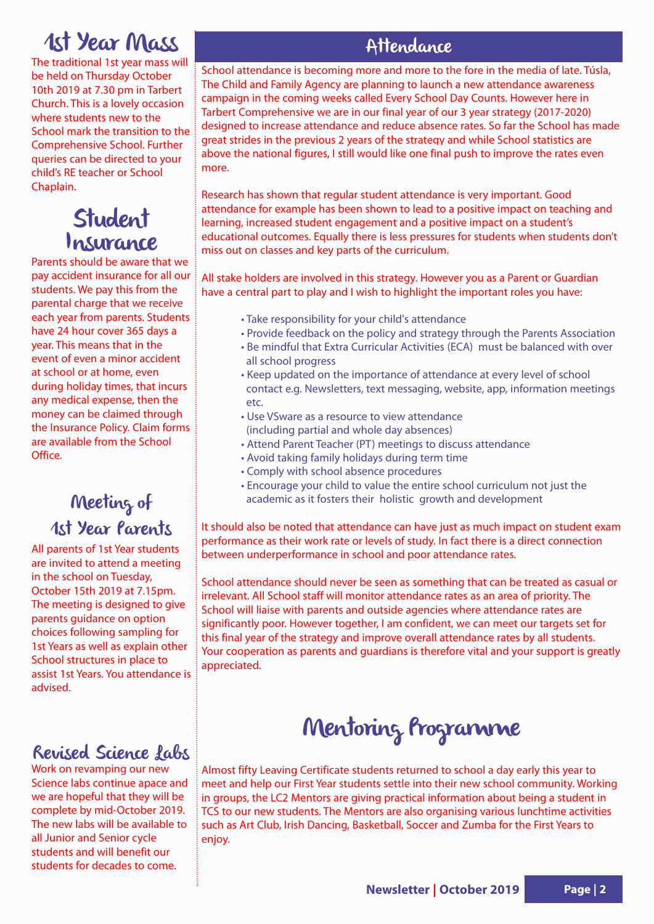## 1st Year Mass

The traditional 1st year mass will be held on Thursday October 10th 2019 at 7.30 pm in Tarbert Church. This is a lovely occasion where students new to the School mark the transition to the Comprehensive School. Further queries can be directed to your child's RE teacher or School Chaplain.

#### Student Insurance

Parents should be aware that we pay accident insurance for all our students. We pay this from the parental charge that we receive each year from parents. Students have 24 hour cover 365 days a year. This means that in the event of even a minor accident at school or at home, even during holiday times, that incurs any medical expense, then the money can be claimed through the Insurance Policy. Claim forms are available from the School Office.

#### Meeting of 1st Year Parents

All parents of 1st Year students are invited to attend a meeting in the school on Tuesday, October 15th 2019 at 7.15pm. The meeting is designed to give parents guidance on option choices following sampling for 1st Years as well as explain other School structures in place to assist 1st Years. You attendance is advised.

#### Revised Science Labs

Work on revamping our new Science labs continue apace and we are hopeful that they will be complete by mid-October 2019. The new labs will be available to all Junior and Senior cycle students and will benefit our students for decades to come.

#### Attendance

School attendance is becoming more and more to the fore in the media of late. Túsla, The Child and Family Agency are planning to launch a new attendance awareness campaign in the coming weeks called Every School Day Counts. However here in Tarbert Comprehensive we are in our final year of our 3 year strategy (2017-2020) designed to increase attendance and reduce absence rates. So far the School has made great strides in the previous 2 years of the strategy and while School statistics are above the national figures, I still would like one final push to improve the rates even more.

Research has shown that regular student attendance is very important. Good attendance for example has been shown to lead to a positive impact on teaching and learning, increased student engagement and a positive impact on a student's educational outcomes. Equally there is less pressures for students when students don't miss out on classes and key parts of the curriculum.

All stake holders are involved in this strategy. However you as a Parent or Guardian have a central part to play and I wish to highlight the important roles you have:

- Take responsibility for your child's attendance
- Provide feedback on the policy and strategy through the Parents Association
- Be mindful that Extra Curricular Activities (ECA) must be balanced with over all school progress
- Keep updated on the importance of attendance at every level of school contact e.g. Newsletters, text messaging, website, app, information meetings etc.
- Use VSware as a resource to view attendance (including partial and whole day absences)
- Attend Parent Teacher (PT) meetings to discuss attendance
- Avoid taking family holidays during term time
- Comply with school absence procedures
- Encourage your child to value the entire school curriculum not just the academic as it fosters their holistic growth and development

It should also be noted that attendance can have just as much impact on student exam performance as their work rate or levels of study. In fact there is a direct connection between underperformance in school and poor attendance rates.

School attendance should never be seen as something that can be treated as casual or irrelevant. All School staff will monitor attendance rates as an area of priority. The School will liaise with parents and outside agencies where attendance rates are significantly poor. However together, I am confident, we can meet our targets set for this final year of the strategy and improve overall attendance rates by all students. Your cooperation as parents and guardians is therefore vital and your support is greatly appreciated.

## Mentoring Programme

Almost fifty Leaving Certificate students returned to school a day early this year to meet and help our First Year students settle into their new school community. Working in groups, the LC2 Mentors are giving practical information about being a student in TCS to our new students. The Mentors are also organising various lunchtime activities such as Art Club, Irish Dancing, Basketball, Soccer and Zumba for the First Years to enjoy.

**Newsletter | October 2019 Page | 2**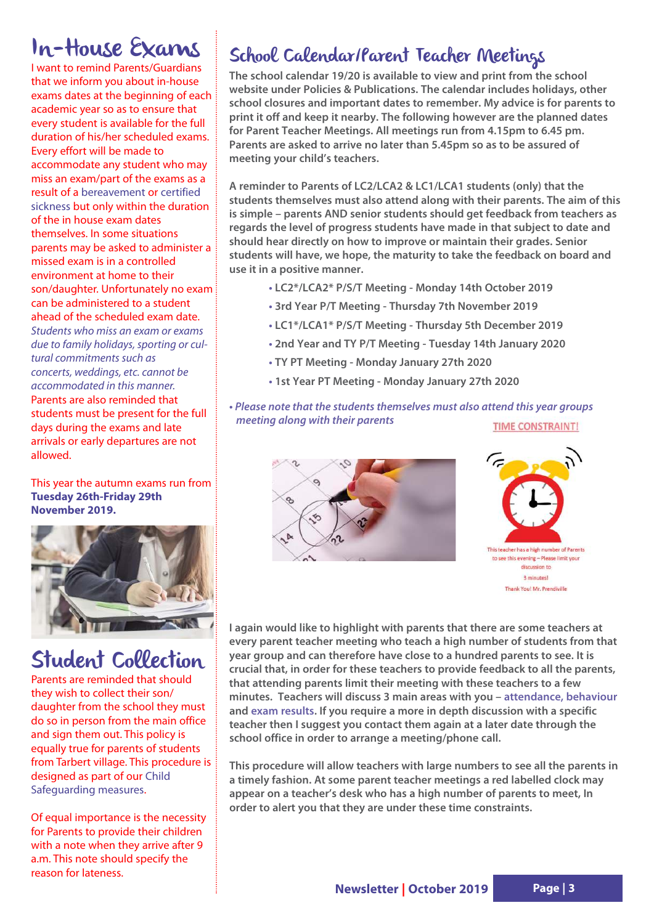## In-House Exams

I want to remind Parents/Guardians that we inform you about in-house exams dates at the beginning of each academic year so as to ensure that every student is available for the full duration of his/her scheduled exams. Every effort will be made to accommodate any student who may miss an exam/part of the exams as a result of a bereavement or certified sickness but only within the duration of the in house exam dates themselves. In some situations parents may be asked to administer a missed exam is in a controlled environment at home to their son/daughter. Unfortunately no exam can be administered to a student ahead of the scheduled exam date. Students who miss an exam or exams due to family holidays, sporting or cultural commitments such as concerts, weddings, etc. cannot be accommodated in this manner. Parents are also reminded that students must be present for the full days during the exams and late arrivals or early departures are not allowed.

#### This year the autumn exams run from **Tuesday 26th-Friday 29th November 2019.**



#### Student Collection

Parents are reminded that should they wish to collect their son/ daughter from the school they must do so in person from the main office and sign them out. This policy is equally true for parents of students from Tarbert village. This procedure is designed as part of our Child Safeguarding measures.

Of equal importance is the necessity for Parents to provide their children with a note when they arrive after 9 a.m. This note should specify the reason for lateness.

#### School Calendar/Parent Teacher Meetings

**The school calendar 19/20 is available to view and print from the school website under Policies & Publications. The calendar includes holidays, other school closures and important dates to remember. My advice is for parents to print it off and keep it nearby. The following however are the planned dates for Parent Teacher Meetings. All meetings run from 4.15pm to 6.45 pm. Parents are asked to arrive no later than 5.45pm so as to be assured of meeting your child's teachers.**

**A reminder to Parents of LC2/LCA2 & LC1/LCA1 students (only) that the students themselves must also attend along with their parents. The aim of this is simple – parents AND senior students should get feedback from teachers as regards the level of progress students have made in that subject to date and should hear directly on how to improve or maintain their grades. Senior students will have, we hope, the maturity to take the feedback on board and use it in a positive manner.** 

- **LC2\*/LCA2\* P/S/T Meeting Monday 14th October 2019**
- **3rd Year P/T Meeting Thursday 7th November 2019**
- **LC1\*/LCA1\* P/S/T Meeting Thursday 5th December 2019**
- **2nd Year and TY P/T Meeting Tuesday 14th January 2020**
- **TY PT Meeting Monday January 27th 2020**
- **1st Year PT Meeting Monday January 27th 2020**
- **Please note that the students themselves must also attend this year groups meeting along with their parents TIME CONSTRAINT!**





**I again would like to highlight with parents that there are some teachers at every parent teacher meeting who teach a high number of students from that year group and can therefore have close to a hundred parents to see. It is crucial that, in order for these teachers to provide feedback to all the parents, that attending parents limit their meeting with these teachers to a few minutes. Teachers will discuss 3 main areas with you – attendance, behaviour and exam results. If you require a more in depth discussion with a specific teacher then I suggest you contact them again at a later date through the school office in order to arrange a meeting/phone call.** 

**This procedure will allow teachers with large numbers to see all the parents in a timely fashion. At some parent teacher meetings a red labelled clock may appear on a teacher's desk who has a high number of parents to meet, In order to alert you that they are under these time constraints.**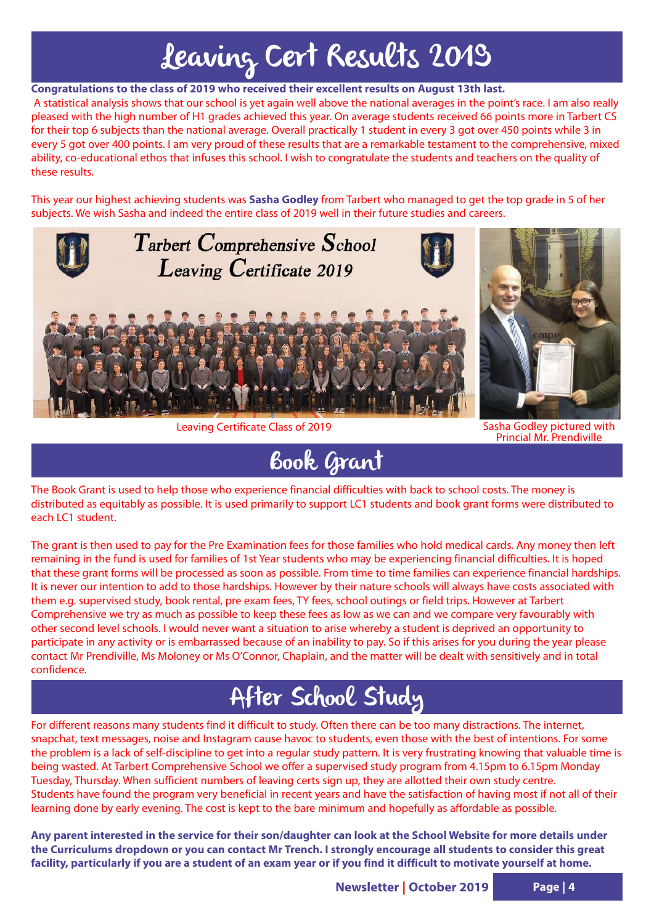# Leaving Cert Results 2019

**Congratulations to the class of 2019 who received their excellent results on August 13th last.**

A statistical analysis shows that our school is yet again well above the national averages in the point's race. I am also really pleased with the high number of H1 grades achieved this year. On average students received 66 points more in Tarbert CS for their top 6 subjects than the national average. Overall practically 1 student in every 3 got over 450 points while 3 in every 5 got over 400 points. I am very proud of these results that are a remarkable testament to the comprehensive, mixed ability, co-educational ethos that infuses this school. I wish to congratulate the students and teachers on the quality of these results.

This year our highest achieving students was **Sasha Godley** from Tarbert who managed to get the top grade in 5 of her subjects. We wish Sasha and indeed the entire class of 2019 well in their future studies and careers.



Leaving Certificate Class of 2019



Sasha Godley pictured with<br>Princial Mr. Prendiville

## Book Grant

The Book Grant is used to help those who experience financial difficulties with back to school costs. The money is distributed as equitably as possible. It is used primarily to support LC1 students and book grant forms were distributed to each LC1 student.

The grant is then used to pay for the Pre Examination fees for those families who hold medical cards. Any money then left remaining in the fund is used for families of 1st Year students who may be experiencing financial difficulties. It is hoped that these grant forms will be processed as soon as possible. From time to time families can experience financial hardships. It is never our intention to add to those hardships. However by their nature schools will always have costs associated with them e.g. supervised study, book rental, pre exam fees, TY fees, school outings or field trips. However at Tarbert Comprehensive we try as much as possible to keep these fees as low as we can and we compare very favourably with other second level schools. I would never want a situation to arise whereby a student is deprived an opportunity to participate in any activity or is embarrassed because of an inability to pay. So if this arises for you during the year please contact Mr Prendiville, Ms Moloney or Ms O'Connor, Chaplain, and the matter will be dealt with sensitively and in total confidence.

## After School Study

For different reasons many students find it difficult to study. Often there can be too many distractions. The internet, snapchat, text messages, noise and Instagram cause havoc to students, even those with the best of intentions. For some the problem is a lack of self-discipline to get into a regular study pattern. It is very frustrating knowing that valuable time is being wasted. At Tarbert Comprehensive School we offer a supervised study program from 4.15pm to 6.15pm Monday Tuesday, Thursday. When sufficient numbers of leaving certs sign up, they are allotted their own study centre. Students have found the program very beneficial in recent years and have the satisfaction of having most if not all of their learning done by early evening. The cost is kept to the bare minimum and hopefully as affordable as possible.

**Any parent interested in the service for their son/daughter can look at the School Website for more details under the Curriculums dropdown or you can contact Mr Trench. I strongly encourage all students to consider this great facility, particularly if you are a student of an exam year or if you find it difficult to motivate yourself at home.**

**Newsletter | October 2019 Page | 4**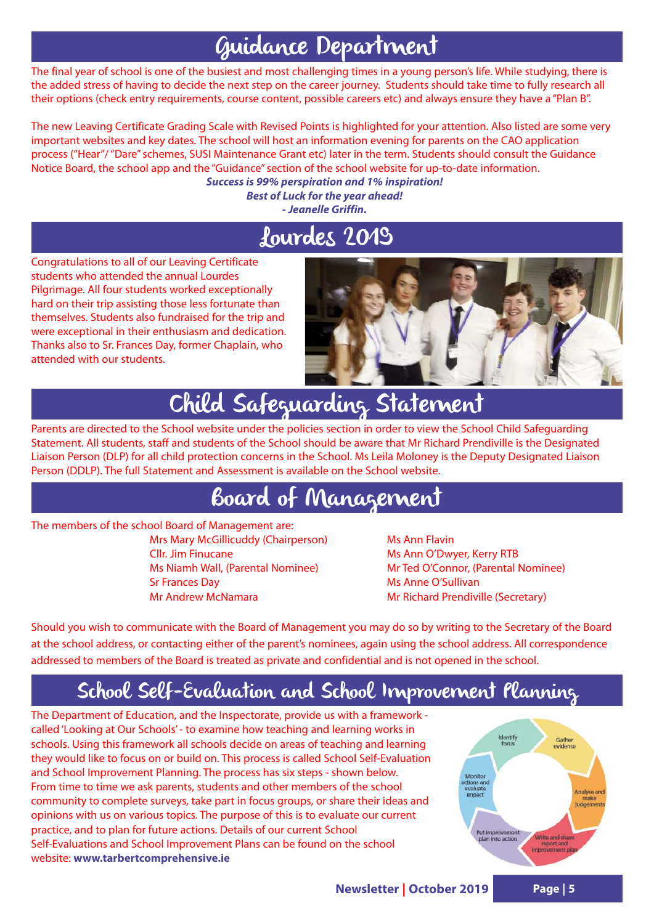#### Guidance Department

The final year of school is one of the busiest and most challenging times in a young person's life. While studying, there is the added stress of having to decide the next step on the career journey. Students should take time to fully research all their options (check entry requirements, course content, possible careers etc) and always ensure they have a "Plan B".

The new Leaving Certificate Grading Scale with Revised Points is highlighted for your attention. Also listed are some very important websites and key dates. The school will host an information evening for parents on the CAO application process ("Hear"/ "Dare" schemes, SUSI Maintenance Grant etc) later in the term. Students should consult the Guidance Notice Board, the school app and the "Guidance" section of the school website for up-to-date information.

**Success is 99% perspiration and 1% inspiration! Best of Luck for the year ahead! - Jeanelle Griffin.**

#### Lourdes 2019

Congratulations to all of our Leaving Certificate students who attended the annual Lourdes Pilgrimage. All four students worked exceptionally hard on their trip assisting those less fortunate than themselves. Students also fundraised for the trip and were exceptional in their enthusiasm and dedication. Thanks also to Sr. Frances Day, former Chaplain, who attended with our students.



# Child Safeguarding Statement

Parents are directed to the School website under the policies section in order to view the School Child Safeguarding Statement. All students, staff and students of the School should be aware that Mr Richard Prendiville is the Designated Liaison Person (DLP) for all child protection concerns in the School. Ms Leila Moloney is the Deputy Designated Liaison Person (DDLP). The full Statement and Assessment is available on the School website.

## Board of Management

The members of the school Board of Management are:

Mrs Mary McGillicuddy (Chairperson) Ms Ann Flavin Cllr. Jim Finucane Ms Ann O'Dwyer, Kerry RTB Sr Frances Day **Ms** Anne O'Sullivan Mr Andrew McNamara Mr Samuel Mr Richard Prendiville (Secretary)

Ms Niamh Wall, (Parental Nominee) Mr Ted O'Connor, (Parental Nominee)

Should you wish to communicate with the Board of Management you may do so by writing to the Secretary of the Board at the school address, or contacting either of the parent's nominees, again using the school address. All correspondence addressed to members of the Board is treated as private and confidential and is not opened in the school.

#### School Self-Evaluation and School Improvement Planning

The Department of Education, and the Inspectorate, provide us with a framework called 'Looking at Our Schools' - to examine how teaching and learning works in schools. Using this framework all schools decide on areas of teaching and learning they would like to focus on or build on. This process is called School Self-Evaluation and School Improvement Planning. The process has six steps - shown below. From time to time we ask parents, students and other members of the school community to complete surveys, take part in focus groups, or share their ideas and opinions with us on various topics. The purpose of this is to evaluate our current practice, and to plan for future actions. Details of our current School Self-Evaluations and School Improvement Plans can be found on the school website: **www.tarbertcomprehensive.ie**

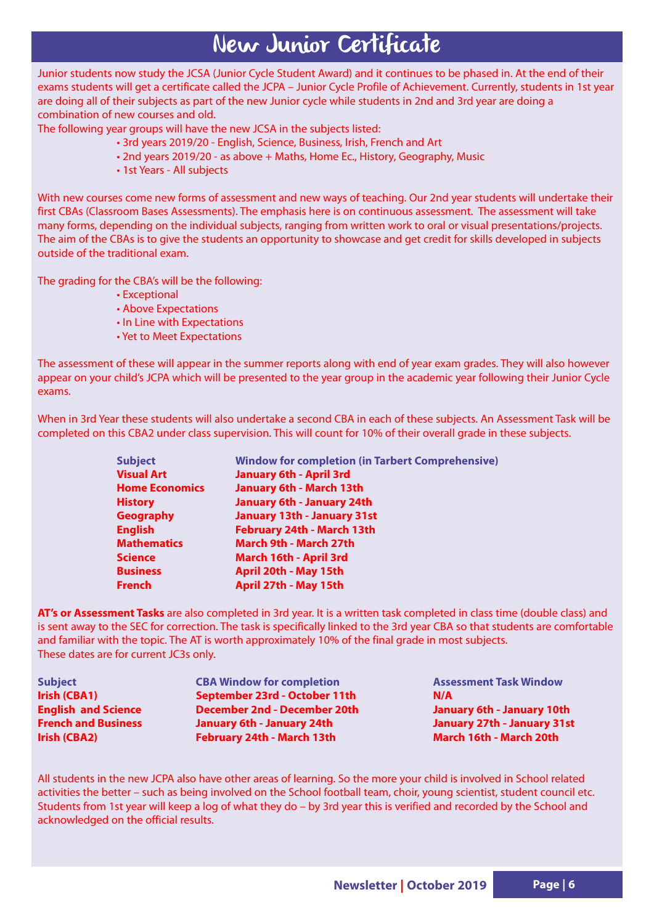#### New Junior Certificate

Junior students now study the JCSA (Junior Cycle Student Award) and it continues to be phased in. At the end of their exams students will get a certificate called the JCPA – Junior Cycle Profile of Achievement. Currently, students in 1st year are doing all of their subjects as part of the new Junior cycle while students in 2nd and 3rd year are doing a combination of new courses and old.

The following year groups will have the new JCSA in the subjects listed:

- 3rd years 2019/20 English, Science, Business, Irish, French and Art
- 2nd years 2019/20 as above + Maths, Home Ec., History, Geography, Music
- 1st Years All subjects

With new courses come new forms of assessment and new ways of teaching. Our 2nd year students will undertake their first CBAs (Classroom Bases Assessments). The emphasis here is on continuous assessment. The assessment will take many forms, depending on the individual subjects, ranging from written work to oral or visual presentations/projects. The aim of the CBAs is to give the students an opportunity to showcase and get credit for skills developed in subjects outside of the traditional exam.

The grading for the CBA's will be the following:

- Exceptional
- Above Expectations
- In Line with Expectations
- Yet to Meet Expectations

The assessment of these will appear in the summer reports along with end of year exam grades. They will also however appear on your child's JCPA which will be presented to the year group in the academic year following their Junior Cycle exams.

When in 3rd Year these students will also undertake a second CBA in each of these subjects. An Assessment Task will be completed on this CBA2 under class supervision. This will count for 10% of their overall grade in these subjects.

| <b>Subject</b>        | <b>Window for completion (in Tarbert Comprehensive)</b> |
|-----------------------|---------------------------------------------------------|
| <b>Visual Art</b>     | <b>January 6th - April 3rd</b>                          |
| <b>Home Economics</b> | <b>January 6th - March 13th</b>                         |
| <b>History</b>        | <b>January 6th - January 24th</b>                       |
| <b>Geography</b>      | <b>January 13th - January 31st</b>                      |
| <b>English</b>        | February 24th - March 13th                              |
| <b>Mathematics</b>    | March 9th - March 27th                                  |
| Science               | March 16th - April 3rd                                  |
| <b>Business</b>       | April 20th - May 15th                                   |
| French                | April 27th - May 15th                                   |
|                       |                                                         |

**AT's or Assessment Tasks** are also completed in 3rd year. It is a written task completed in class time (double class) and is sent away to the SEC for correction. The task is specifically linked to the 3rd year CBA so that students are comfortable and familiar with the topic. The AT is worth approximately 10% of the final grade in most subjects. These dates are for current JC3s only.

| <b>Subject</b>             | <b>CBA Window for completion</b>    | <b>Assessment Task Window</b>      |
|----------------------------|-------------------------------------|------------------------------------|
| Irish (CBA1)               | September 23rd - October 11th       | N/A                                |
| <b>English and Science</b> | <b>December 2nd - December 20th</b> | January 6th - January 10th         |
| <b>French and Business</b> | <b>January 6th - January 24th</b>   | <b>January 27th - January 31st</b> |
| Irish (CBA2)               | February 24th - March 13th          | March 16th - March 20th            |

All students in the new JCPA also have other areas of learning. So the more your child is involved in School related activities the better – such as being involved on the School football team, choir, young scientist, student council etc. Students from 1st year will keep a log of what they do – by 3rd year this is verified and recorded by the School and acknowledged on the official results.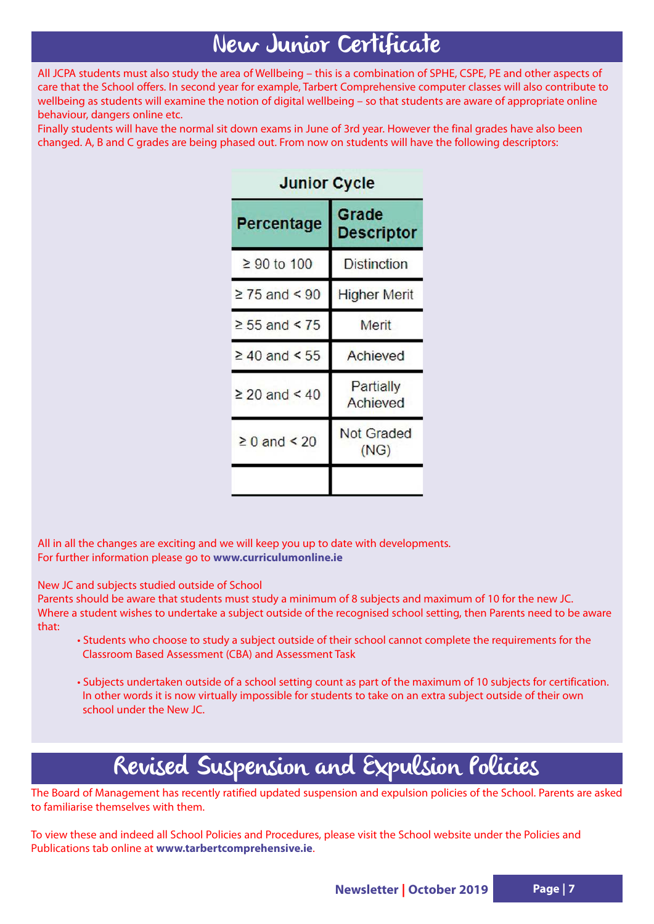## New Junior Certificate

All JCPA students must also study the area of Wellbeing – this is a combination of SPHE, CSPE, PE and other aspects of care that the School offers. In second year for example, Tarbert Comprehensive computer classes will also contribute to wellbeing as students will examine the notion of digital wellbeing – so that students are aware of appropriate online behaviour, dangers online etc.

Finally students will have the normal sit down exams in June of 3rd year. However the final grades have also been changed. A, B and C grades are being phased out. From now on students will have the following descriptors:

| Percentage         | Grade<br><b>Descriptor</b> |  |
|--------------------|----------------------------|--|
| $≥$ 90 to 100      | <b>Distinction</b>         |  |
| $\geq$ 75 and < 90 | <b>Higher Merit</b>        |  |
| $\geq 55$ and < 75 | Merit                      |  |
| $\geq 40$ and < 55 | Achieved                   |  |
| $\geq 20$ and < 40 | Partially<br>Achieved      |  |
| $\geq 0$ and < 20  | <b>Not Graded</b><br>(NG)  |  |
|                    |                            |  |

#### Junior Cycle

All in all the changes are exciting and we will keep you up to date with developments. For further information please go to **www.curriculumonline.ie**

New JC and subjects studied outside of School

Parents should be aware that students must study a minimum of 8 subjects and maximum of 10 for the new JC. Where a student wishes to undertake a subject outside of the recognised school setting, then Parents need to be aware that:

- Students who choose to study a subject outside of their school cannot complete the requirements for the Classroom Based Assessment (CBA) and Assessment Task
- Subjects undertaken outside of a school setting count as part of the maximum of 10 subjects for certification. In other words it is now virtually impossible for students to take on an extra subject outside of their own school under the New JC.

#### Revised Suspension and Expulsion Policies

The Board of Management has recently ratified updated suspension and expulsion policies of the School. Parents are asked to familiarise themselves with them.

To view these and indeed all School Policies and Procedures, please visit the School website under the Policies and Publications tab online at **www.tarbertcomprehensive.ie**.